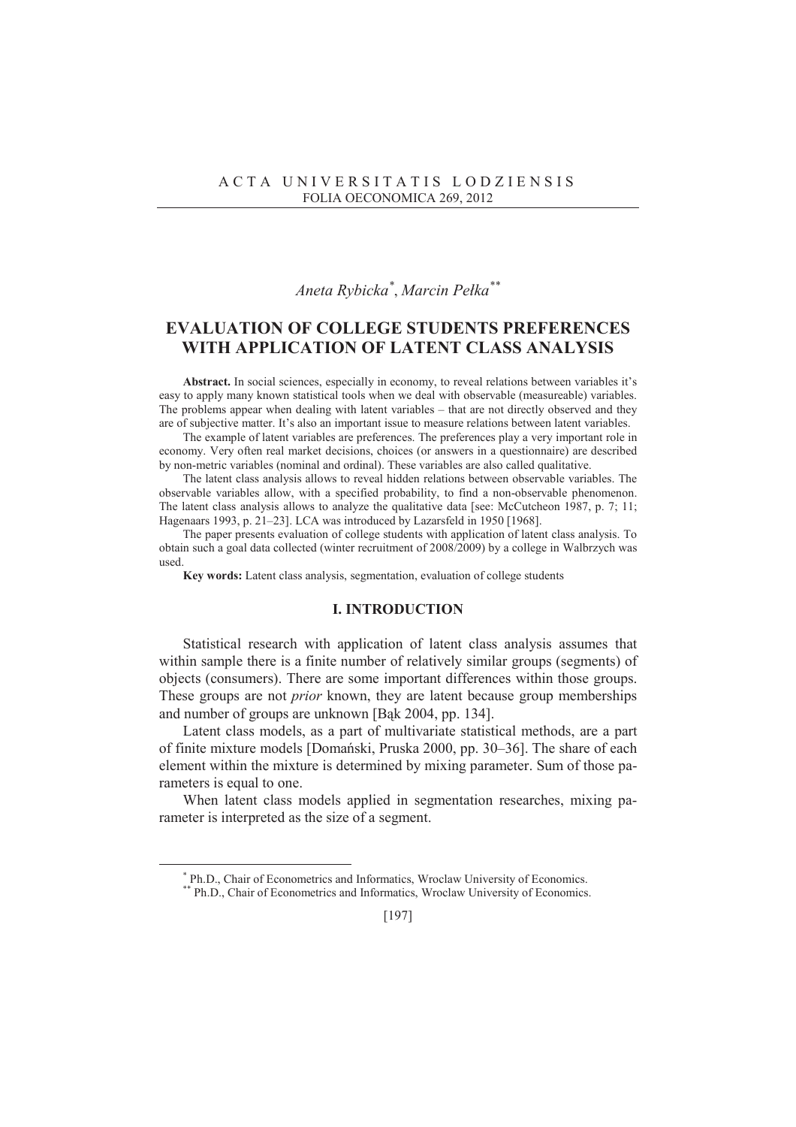# *Aneta Rybicka\** , *Marcin Peáka\*\**

## **EVALUATION OF COLLEGE STUDENTS PREFERENCES WITH APPLICATION OF LATENT CLASS ANALYSIS**

**Abstract.** In social sciences, especially in economy, to reveal relations between variables it's easy to apply many known statistical tools when we deal with observable (measureable) variables. The problems appear when dealing with latent variables – that are not directly observed and they are of subjective matter. It's also an important issue to measure relations between latent variables.

The example of latent variables are preferences. The preferences play a very important role in economy. Very often real market decisions, choices (or answers in a questionnaire) are described by non-metric variables (nominal and ordinal). These variables are also called qualitative.

The latent class analysis allows to reveal hidden relations between observable variables. The observable variables allow, with a specified probability, to find a non-observable phenomenon. The latent class analysis allows to analyze the qualitative data [see: McCutcheon 1987, p. 7; 11; Hagenaars 1993, p. 21–23]. LCA was introduced by Lazarsfeld in 1950 [1968].

The paper presents evaluation of college students with application of latent class analysis. To obtain such a goal data collected (winter recruitment of 2008/2009) by a college in Walbrzych was used.

**Key words:** Latent class analysis, segmentation, evaluation of college students

## **I. INTRODUCTION**

Statistical research with application of latent class analysis assumes that within sample there is a finite number of relatively similar groups (segments) of objects (consumers). There are some important differences within those groups. These groups are not *prior* known, they are latent because group memberships and number of groups are unknown [Bąk 2004, pp. 134].

Latent class models, as a part of multivariate statistical methods, are a part of finite mixture models [Domański, Pruska 2000, pp. 30–36]. The share of each element within the mixture is determined by mixing parameter. Sum of those parameters is equal to one.

When latent class models applied in segmentation researches, mixing parameter is interpreted as the size of a segment.

 $\overline{a}$ 

<sup>\*</sup> Ph.D., Chair of Econometrics and Informatics, Wroclaw University of Economics.

<sup>\*\*</sup> Ph.D., Chair of Econometrics and Informatics, Wroclaw University of Economics.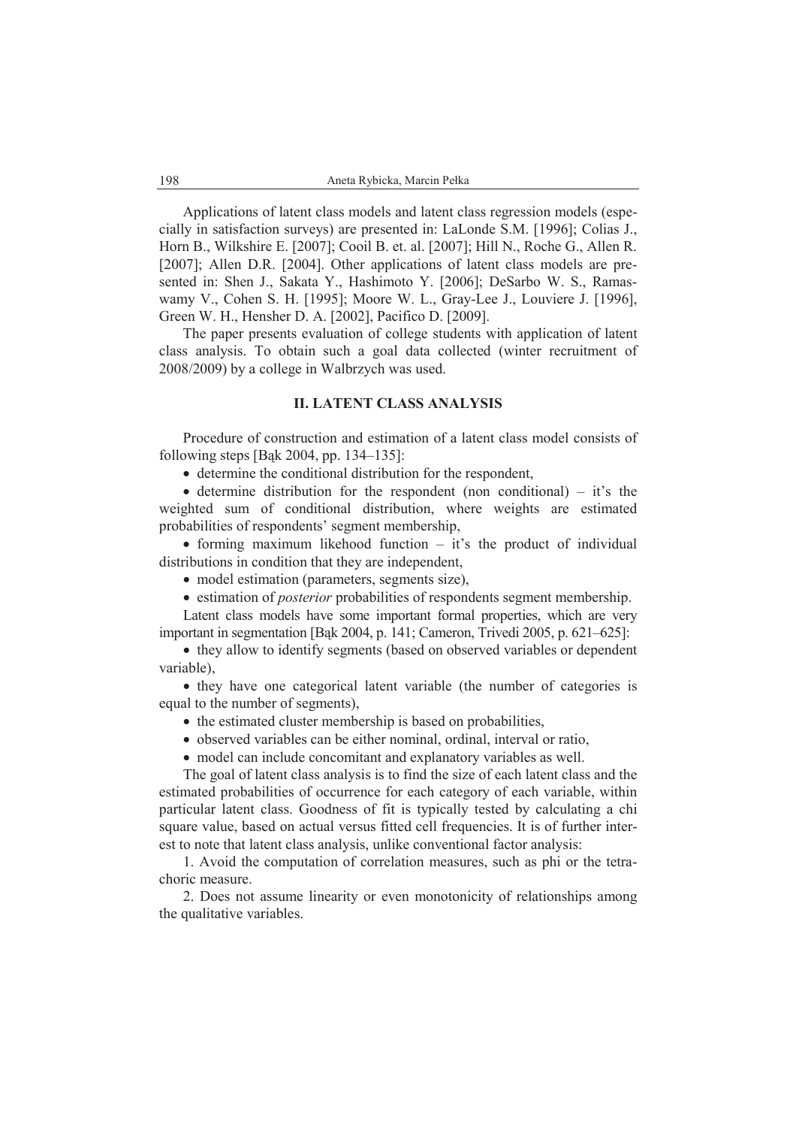Applications of latent class models and latent class regression models (especially in satisfaction surveys) are presented in: LaLonde S.M. [1996]; Colias J., Horn B., Wilkshire E. [2007]; Cooil B. et. al. [2007]; Hill N., Roche G., Allen R. [2007]; Allen D.R. [2004]. Other applications of latent class models are presented in: Shen J., Sakata Y., Hashimoto Y. [2006]; DeSarbo W. S., Ramaswamy V., Cohen S. H. [1995]; Moore W. L., Gray-Lee J., Louviere J. [1996], Green W. H., Hensher D. A. [2002], Pacifico D. [2009].

The paper presents evaluation of college students with application of latent class analysis. To obtain such a goal data collected (winter recruitment of 2008/2009) by a college in Walbrzych was used.

## **II. LATENT CLASS ANALYSIS**

Procedure of construction and estimation of a latent class model consists of following steps [Bąk 2004, pp. 134–135]:

 $\bullet$  determine the conditional distribution for the respondent,

• determine distribution for the respondent (non conditional) – it's the weighted sum of conditional distribution, where weights are estimated probabilities of respondents' segment membership,

• forming maximum likehood function  $-$  it's the product of individual distributions in condition that they are independent,

- model estimation (parameters, segments size),
- estimation of *posterior* probabilities of respondents segment membership.

Latent class models have some important formal properties, which are very important in segmentation [Bąk 2004, p. 141; Cameron, Trivedi 2005, p. 621–625]:

• they allow to identify segments (based on observed variables or dependent variable),

• they have one categorical latent variable (the number of categories is equal to the number of segments),

- $\bullet$  the estimated cluster membership is based on probabilities,
- observed variables can be either nominal, ordinal, interval or ratio,
- model can include concomitant and explanatory variables as well.

The goal of latent class analysis is to find the size of each latent class and the estimated probabilities of occurrence for each category of each variable, within particular latent class. Goodness of fit is typically tested by calculating a chi square value, based on actual versus fitted cell frequencies. It is of further interest to note that latent class analysis, unlike conventional factor analysis:

1. Avoid the computation of correlation measures, such as phi or the tetrachoric measure.

2. Does not assume linearity or even monotonicity of relationships among the qualitative variables.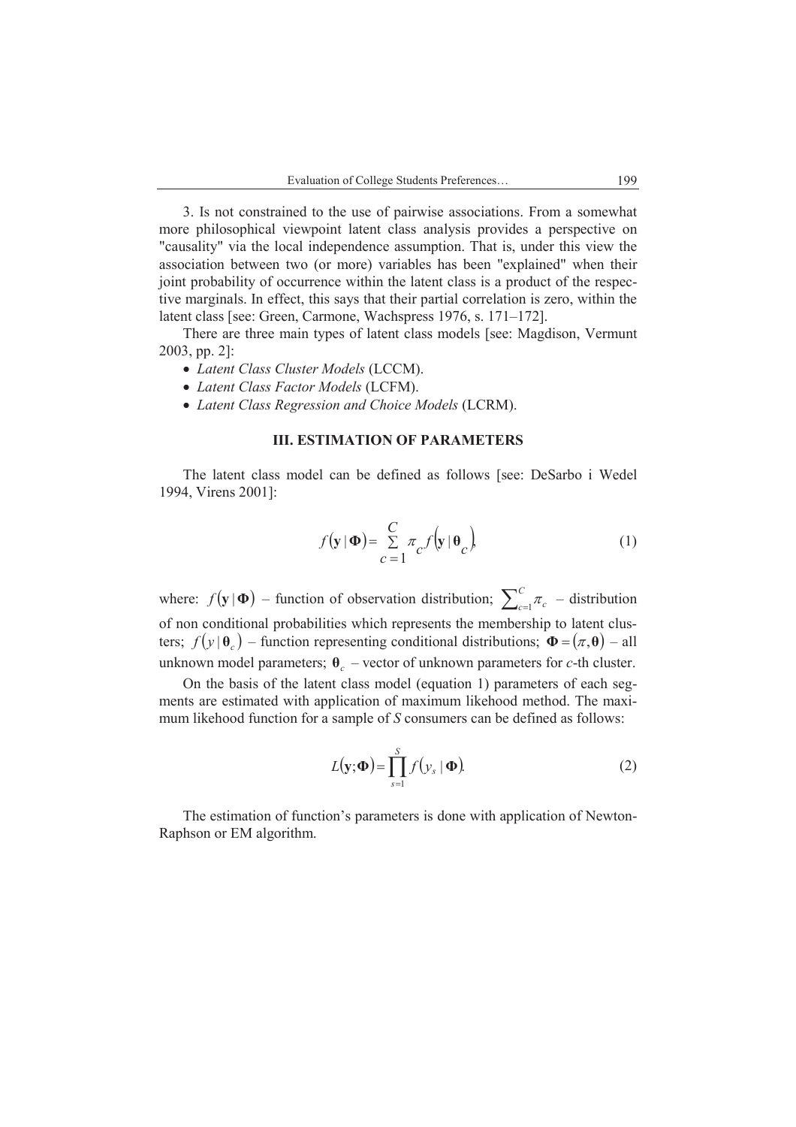3. Is not constrained to the use of pairwise associations. From a somewhat more philosophical viewpoint latent class analysis provides a perspective on "causality" via the local independence assumption. That is, under this view the association between two (or more) variables has been "explained" when their joint probability of occurrence within the latent class is a product of the respective marginals. In effect, this says that their partial correlation is zero, within the latent class [see: Green, Carmone, Wachspress 1976, s. 171–172].

There are three main types of latent class models [see: Magdison, Vermunt 2003, pp. 2]:

- x *Latent Class Cluster Models* (LCCM).
- x *Latent Class Factor Models* (LCFM).
- x *Latent Class Regression and Choice Models* (LCRM).

#### **III. ESTIMATION OF PARAMETERS**

The latent class model can be defined as follows [see: DeSarbo i Wedel 1994, Virens 2001]:

$$
f(\mathbf{y} | \mathbf{\Phi}) = \sum_{C=1}^{C} \pi_C f(\mathbf{y} | \mathbf{\theta}_C)
$$
 (1)

where:  $f(\mathbf{y} | \mathbf{\Phi})$  – function of observation distribution;  $\sum_{c=1}^{C}$  $\int_{c=1}^{\infty} \pi_c$  – distribution of non conditional probabilities which represents the membership to latent clusters;  $f(y | \theta_c)$  – function representing conditional distributions;  $\mathbf{\Phi} = (\pi, \theta)$  – all unknown model parameters;  $\theta_c$  – vector of unknown parameters for *c*-th cluster.

On the basis of the latent class model (equation 1) parameters of each segments are estimated with application of maximum likehood method. The maximum likehood function for a sample of *S* consumers can be defined as follows:

$$
L(\mathbf{y};\mathbf{\Phi}) = \prod_{s=1}^{S} f(y_s | \mathbf{\Phi}).
$$
 (2)

The estimation of function's parameters is done with application of Newton-Raphson or EM algorithm.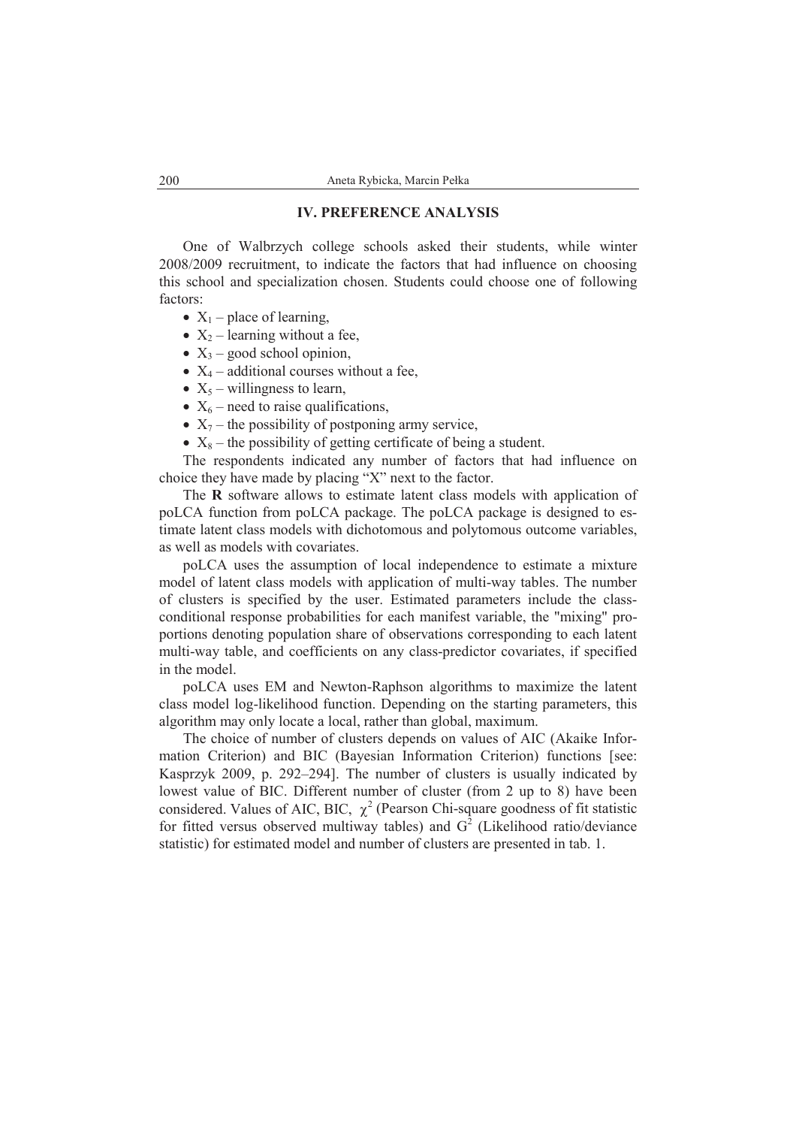### **IV. PREFERENCE ANALYSIS**

One of Walbrzych college schools asked their students, while winter 2008/2009 recruitment, to indicate the factors that had influence on choosing this school and specialization chosen. Students could choose one of following factors:

- $X_1$  place of learning,
- $X_2$  learning without a fee,
- $X_3$  good school opinion,
- $X_4$  additional courses without a fee,
- $X_5$  willingness to learn,
- $X_6$  need to raise qualifications,
- $X_7$  the possibility of postponing army service,
- $X_8$  the possibility of getting certificate of being a student.

The respondents indicated any number of factors that had influence on choice they have made by placing "X" next to the factor.

The **R** software allows to estimate latent class models with application of poLCA function from poLCA package. The poLCA package is designed to estimate latent class models with dichotomous and polytomous outcome variables, as well as models with covariates.

poLCA uses the assumption of local independence to estimate a mixture model of latent class models with application of multi-way tables. The number of clusters is specified by the user. Estimated parameters include the classconditional response probabilities for each manifest variable, the "mixing" proportions denoting population share of observations corresponding to each latent multi-way table, and coefficients on any class-predictor covariates, if specified in the model.

poLCA uses EM and Newton-Raphson algorithms to maximize the latent class model log-likelihood function. Depending on the starting parameters, this algorithm may only locate a local, rather than global, maximum.

The choice of number of clusters depends on values of AIC (Akaike Information Criterion) and BIC (Bayesian Information Criterion) functions [see: Kasprzyk 2009, p. 292–294]. The number of clusters is usually indicated by lowest value of BIC. Different number of cluster (from 2 up to 8) have been considered. Values of AIC, BIC,  $\chi^2$  (Pearson Chi-square goodness of fit statistic for fitted versus observed multiway tables) and  $G^2$  (Likelihood ratio/deviance statistic) for estimated model and number of clusters are presented in tab. 1.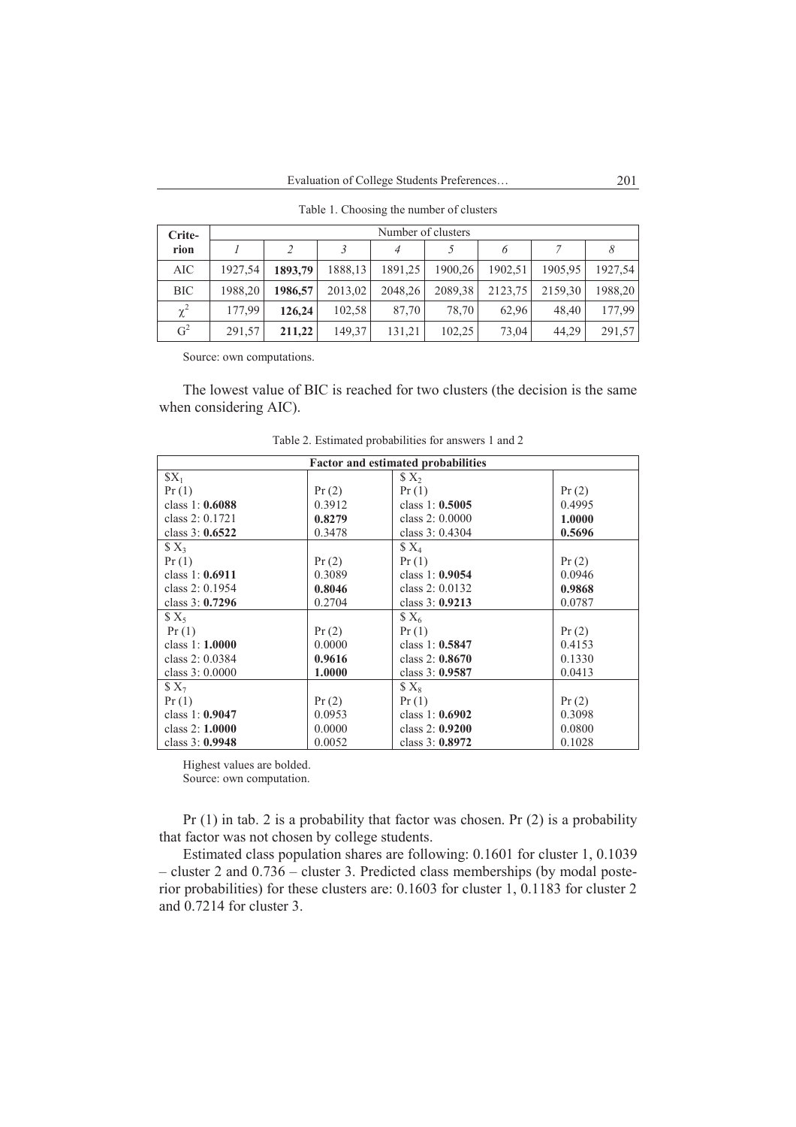| Crite-         | Number of clusters |         |         |         |         |         |         |         |  |
|----------------|--------------------|---------|---------|---------|---------|---------|---------|---------|--|
| rion           |                    |         |         |         |         |         |         |         |  |
| AIC            | 1927,54            | 1893.79 | 1888,13 | 1891,25 | 1900,26 | 1902,51 | 1905,95 | 1927,54 |  |
| <b>BIC</b>     | 1988,20            | 1986.57 | 2013,02 | 2048.26 | 2089,38 | 2123,75 | 2159,30 | 1988,20 |  |
| $\chi^2$       | 177.99             | 126,24  | 102,58  | 87,70   | 78,70   | 62.96   | 48.40   | 177,99  |  |
| G <sup>2</sup> | 291,57             | 211.22  | 149.37  | 131,21  | 102,25  | 73,04   | 44.29   | 291,57  |  |

Table 1. Choosing the number of clusters

Source: own computations.

The lowest value of BIC is reached for two clusters (the decision is the same when considering AIC).

| <b>Factor and estimated probabilities</b> |        |                          |        |  |  |  |  |  |
|-------------------------------------------|--------|--------------------------|--------|--|--|--|--|--|
| $$X_1$                                    |        | $\mathcal{S} \times_{2}$ |        |  |  |  |  |  |
| Pr(1)                                     | Pr(2)  | Pr(1)                    | Pr(2)  |  |  |  |  |  |
| class 1: $0.6088$                         | 0.3912 | class $1: 0.5005$        | 0.4995 |  |  |  |  |  |
| class 2: 0.1721                           | 0.8279 | class $2: 0.0000$        | 1.0000 |  |  |  |  |  |
| class $3: 0.6522$                         | 0.3478 | class 3: 0.4304          | 0.5696 |  |  |  |  |  |
| $X_3$                                     |        | $X_4$                    |        |  |  |  |  |  |
| Pr(1)                                     | Pr(2)  | Pr(1)                    | Pr(2)  |  |  |  |  |  |
| class 1: 0.6911                           | 0.3089 | class 1: 0.9054          | 0.0946 |  |  |  |  |  |
| class 2: 0.1954                           | 0.8046 | class $2: 0.0132$        | 0.9868 |  |  |  |  |  |
| class $3: 0.7296$                         | 0.2704 | class 3: 0.9213          | 0.0787 |  |  |  |  |  |
| $X_5$                                     |        | $X_6$                    |        |  |  |  |  |  |
| Pr(1)                                     | Pr(2)  | Pr(1)                    | Pr(2)  |  |  |  |  |  |
| class $1:1.0000$                          | 0.0000 | class 1: $0.5847$        | 0.4153 |  |  |  |  |  |
| class $2:0.0384$                          | 0.9616 | class $2: 0.8670$        | 0.1330 |  |  |  |  |  |
| class $3:0.0000$                          | 1.0000 | class $3:0.9587$         | 0.0413 |  |  |  |  |  |
| $X_7$                                     |        | $X_8$                    |        |  |  |  |  |  |
| Pr(1)                                     | Pr(2)  | Pr(1)                    | Pr(2)  |  |  |  |  |  |
| class 1: $0.9047$                         | 0.0953 | class 1: $0.6902$        | 0.3098 |  |  |  |  |  |
| class $2:1.0000$                          | 0.0000 | class $2: 0.9200$        | 0.0800 |  |  |  |  |  |
| class $3:0.9948$                          | 0.0052 | class $3:0.8972$         | 0.1028 |  |  |  |  |  |

Table 2. Estimated probabilities for answers 1 and 2

Highest values are bolded.

Source: own computation.

Pr  $(1)$  in tab. 2 is a probability that factor was chosen. Pr  $(2)$  is a probability that factor was not chosen by college students.

Estimated class population shares are following: 0.1601 for cluster 1, 0.1039 – cluster 2 and 0.736 – cluster 3. Predicted class memberships (by modal posterior probabilities) for these clusters are: 0.1603 for cluster 1, 0.1183 for cluster 2 and 0.7214 for cluster 3.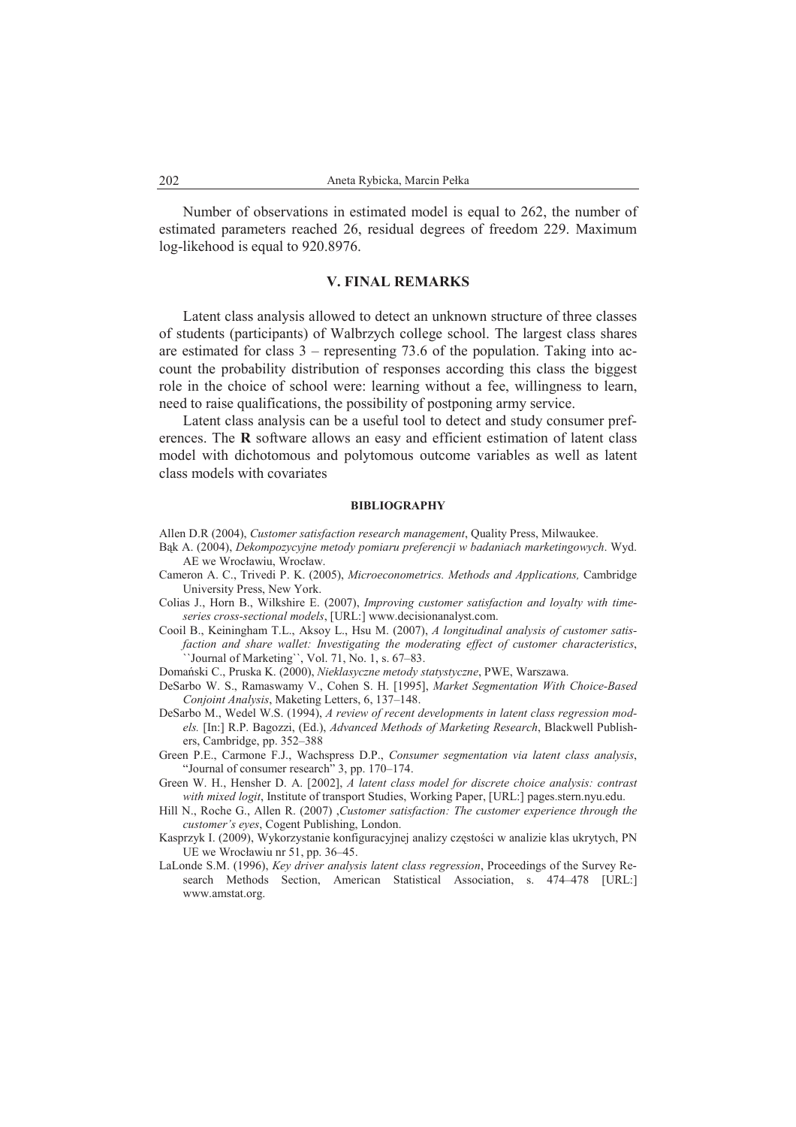Number of observations in estimated model is equal to 262, the number of estimated parameters reached 26, residual degrees of freedom 229. Maximum log-likehood is equal to 920.8976.

#### **V. FINAL REMARKS**

Latent class analysis allowed to detect an unknown structure of three classes of students (participants) of Walbrzych college school. The largest class shares are estimated for class 3 – representing 73.6 of the population. Taking into account the probability distribution of responses according this class the biggest role in the choice of school were: learning without a fee, willingness to learn, need to raise qualifications, the possibility of postponing army service.

Latent class analysis can be a useful tool to detect and study consumer preferences. The **R** software allows an easy and efficient estimation of latent class model with dichotomous and polytomous outcome variables as well as latent class models with covariates

#### **BIBLIOGRAPHY**

- Allen D.R (2004), *Customer satisfaction research management*, Quality Press, Milwaukee.
- Bąk A. (2004), *Dekompozycyjne metody pomiaru preferencji w badaniach marketingowych*. Wyd. AE we Wrocáawiu, Wrocáaw.
- Cameron A. C., Trivedi P. K. (2005), *Microeconometrics. Methods and Applications,* Cambridge University Press, New York.
- Colias J., Horn B., Wilkshire E. (2007), *Improving customer satisfaction and loyalty with timeseries cross-sectional models*, [URL:] www.decisionanalyst.com.
- Cooil B., Keiningham T.L., Aksoy L., Hsu M. (2007), *A longitudinal analysis of customer satisfaction and share wallet: Investigating the moderating effect of customer characteristics*, ``Journal of Marketing``, Vol. 71, No. 1, s. 67–83.

DomaĔski C., Pruska K. (2000), *Nieklasyczne metody statystyczne*, PWE, Warszawa.

- DeSarbo W. S., Ramaswamy V., Cohen S. H. [1995], *Market Segmentation With Choice-Based Conjoint Analysis*, Maketing Letters, 6, 137–148.
- DeSarbo M., Wedel W.S. (1994), *A review of recent developments in latent class regression models.* [In:] R.P. Bagozzi, (Ed.), *Advanced Methods of Marketing Research*, Blackwell Publishers, Cambridge, pp. 352–388
- Green P.E., Carmone F.J., Wachspress D.P., *Consumer segmentation via latent class analysis*, "Journal of consumer research" 3, pp. 170–174.
- Green W. H., Hensher D. A. [2002], *A latent class model for discrete choice analysis: contrast with mixed logit*, Institute of transport Studies, Working Paper, [URL:] pages.stern.nyu.edu.
- Hill N., Roche G., Allen R. (2007) ,*Customer satisfaction: The customer experience through the customer's eyes*, Cogent Publishing, London.
- Kasprzyk I. (2009), Wykorzystanie konfiguracyjnej analizy częstości w analizie klas ukrytych, PN UE we Wrocławiu nr 51, pp. 36–45.
- LaLonde S.M. (1996), *Key driver analysis latent class regression*, Proceedings of the Survey Research Methods Section, American Statistical Association, s. 474–478 [URL:] www.amstat.org.